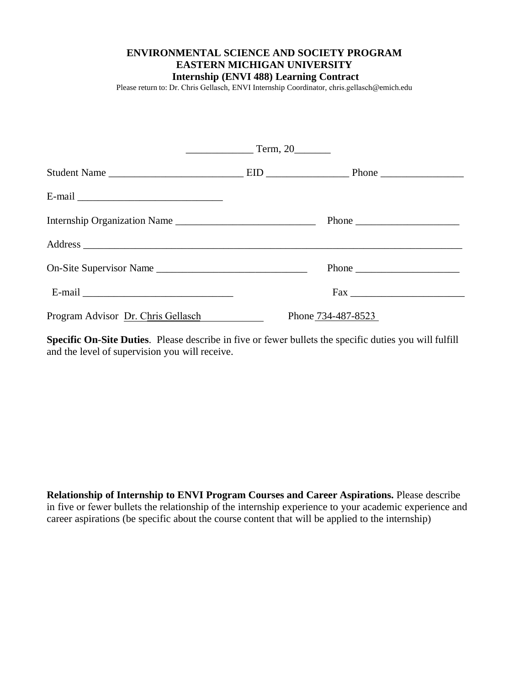## **ENVIRONMENTAL SCIENCE AND SOCIETY PROGRAM EASTERN MICHIGAN UNIVERSITY Internship (ENVI 488) Learning Contract**

Please return to: Dr. Chris Gellasch, ENVI Internship Coordinator, chris.gellasch@emich.edu

|                                    | Term, 20                                               |  |
|------------------------------------|--------------------------------------------------------|--|
|                                    |                                                        |  |
|                                    |                                                        |  |
| Internship Organization Name       | Phone $\frac{1}{\sqrt{1-\frac{1}{2}}\cdot\frac{1}{2}}$ |  |
|                                    |                                                        |  |
| On-Site Supervisor Name            |                                                        |  |
|                                    |                                                        |  |
| Program Advisor Dr. Chris Gellasch | Phone 734-487-8523                                     |  |

**Specific On-Site Duties**. Please describe in five or fewer bullets the specific duties you will fulfill and the level of supervision you will receive.

**Relationship of Internship to ENVI Program Courses and Career Aspirations.** Please describe in five or fewer bullets the relationship of the internship experience to your academic experience and career aspirations (be specific about the course content that will be applied to the internship)